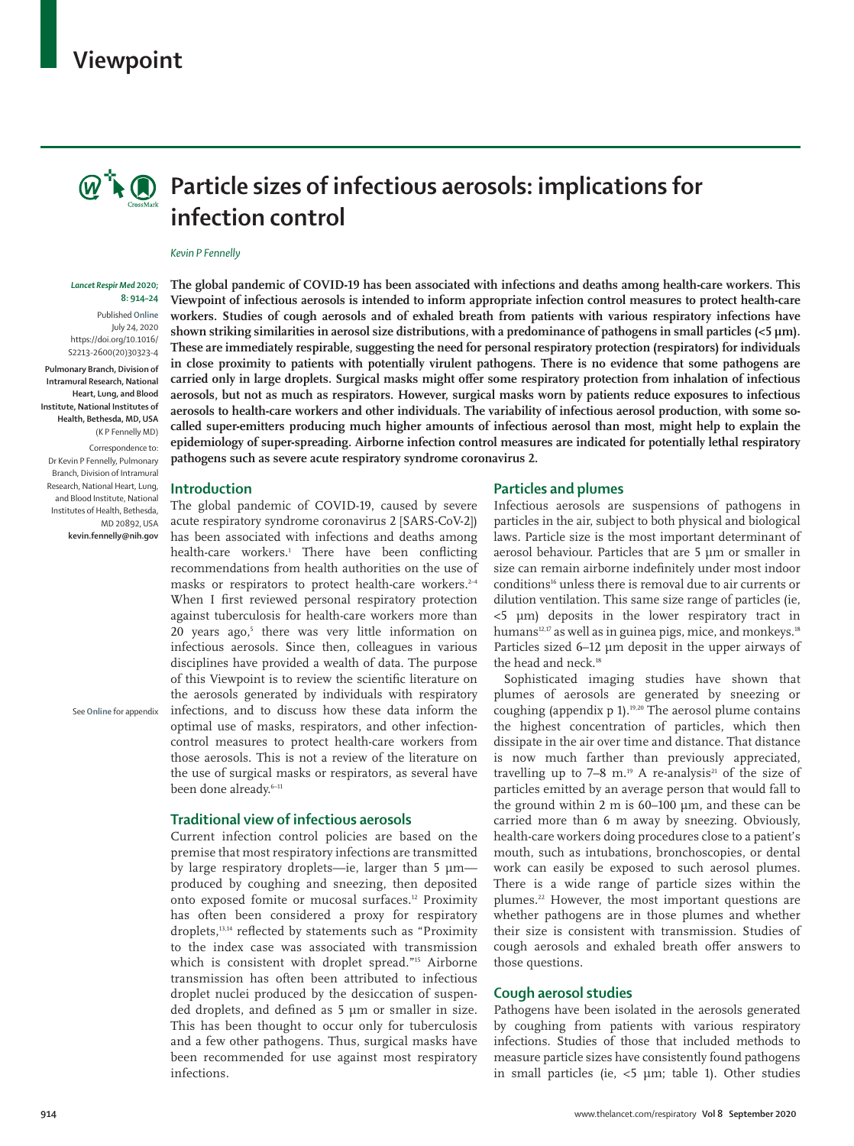## **Viewpoint**



# **Particle sizes of infectious aerosols: implications for infection control**

#### *Kevin P Fennelly*

#### *Lancet Respir Med* **2020; 8: 914–24**

Published **Online** July 24, 2020 https://doi.org/10.1016/ S2213-2600(20)30323-4

**Pulmonary Branch, Division of Intramural Research, National Heart, Lung, and Blood Institute, National Institutes of Health, Bethesda, MD, USA** (K P Fennelly MD)

Correspondence to: Dr Kevin P Fennelly, Pulmonary Branch, Division of Intramural Research, National Heart, Lung, and Blood Institute, National Institutes of Health, Bethesda, MD 20892, USA **kevin.fennelly@nih.gov**

See **Online** for appendix

**The global pandemic of COVID-19 has been associated with infections and deaths among health-care workers. This Viewpoint of infectious aerosols is intended to inform appropriate infection control measures to protect health-care workers. Studies of cough aerosols and of exhaled breath from patients with various respiratory infections have**  shown striking similarities in aerosol size distributions, with a predominance of pathogens in small particles (<5 µm). **These are immediately respirable, suggesting the need for personal respiratory protection (respirators) for individuals in close proximity to patients with potentially virulent pathogens. There is no evidence that some pathogens are carried only in large droplets. Surgical masks might offer some respiratory protection from inhalation of infectious aerosols, but not as much as respirators. However, surgical masks worn by patients reduce exposures to infectious aerosols to health-care workers and other individuals. The variability of infectious aerosol production, with some socalled super-emitters producing much higher amounts of infectious aerosol than most, might help to explain the epidemiology of super-spreading. Airborne infection control measures are indicated for potentially lethal respiratory pathogens such as severe acute respiratory syndrome coronavirus 2.**

## **Introduction**

The global pandemic of COVID-19, caused by severe acute respiratory syndrome coronavirus 2 [SARS-CoV-2]) has been associated with infections and deaths among health-care workers.1 There have been conflicting recommendations from health authorities on the use of masks or respirators to protect health-care workers.<sup>2-4</sup> When I first reviewed personal respiratory protection against tuberculosis for health-care workers more than 20 years ago,<sup>5</sup> there was very little information on infectious aerosols. Since then, colleagues in various disciplines have provided a wealth of data. The purpose of this Viewpoint is to review the scientific literature on the aerosols generated by individuals with respiratory infections, and to discuss how these data inform the optimal use of masks, respirators, and other infectioncontrol measures to protect health-care workers from those aerosols. This is not a review of the literature on the use of surgical masks or respirators, as several have been done already.<sup>6-11</sup>

## **Traditional view of infectious aerosols**

Current infection control policies are based on the premise that most respiratory infections are transmitted by large respiratory droplets—ie, larger than 5 µm produced by coughing and sneezing, then deposited onto exposed fomite or mucosal surfaces.<sup>12</sup> Proximity has often been considered a proxy for respiratory droplets,<sup>13,14</sup> reflected by statements such as "Proximity to the index case was associated with transmission which is consistent with droplet spread."<sup>15</sup> Airborne transmission has often been attributed to infectious droplet nuclei produced by the desiccation of suspended droplets, and defined as 5 µm or smaller in size. This has been thought to occur only for tuberculosis and a few other pathogens. Thus, surgical masks have been recommended for use against most respiratory infections.

## **Particles and plumes**

Infectious aerosols are suspensions of pathogens in particles in the air, subject to both physical and biological laws. Particle size is the most important determinant of aerosol behaviour. Particles that are 5 µm or smaller in size can remain airborne indefinitely under most indoor conditions<sup>16</sup> unless there is removal due to air currents or dilution ventilation. This same size range of particles (ie, <5 µm) deposits in the lower respiratory tract in humans<sup>12,17</sup> as well as in guinea pigs, mice, and monkeys.<sup>18</sup> Particles sized 6–12 µm deposit in the upper airways of the head and neck.<sup>18</sup>

Sophisticated imaging studies have shown that plumes of aerosols are generated by sneezing or coughing (appendix p 1).<sup>19,20</sup> The aerosol plume contains the highest concentration of particles, which then dissipate in the air over time and distance. That distance is now much farther than previously appreciated, travelling up to  $7-8$  m.<sup>19</sup> A re-analysis<sup>21</sup> of the size of particles emitted by an average person that would fall to the ground within 2 m is 60–100 µm, and these can be carried more than 6 m away by sneezing. Obviously, health-care workers doing procedures close to a patient's mouth, such as intubations, bronchoscopies, or dental work can easily be exposed to such aerosol plumes. There is a wide range of particle sizes within the plumes.<sup>22</sup> However, the most important questions are whether pathogens are in those plumes and whether their size is consistent with transmission. Studies of cough aerosols and exhaled breath offer answers to those questions.

## **Cough aerosol studies**

Pathogens have been isolated in the aerosols generated by coughing from patients with various respiratory infections. Studies of those that included methods to measure particle sizes have consistently found pathogens in small particles (ie,  $<$ 5  $\mu$ m; table 1). Other studies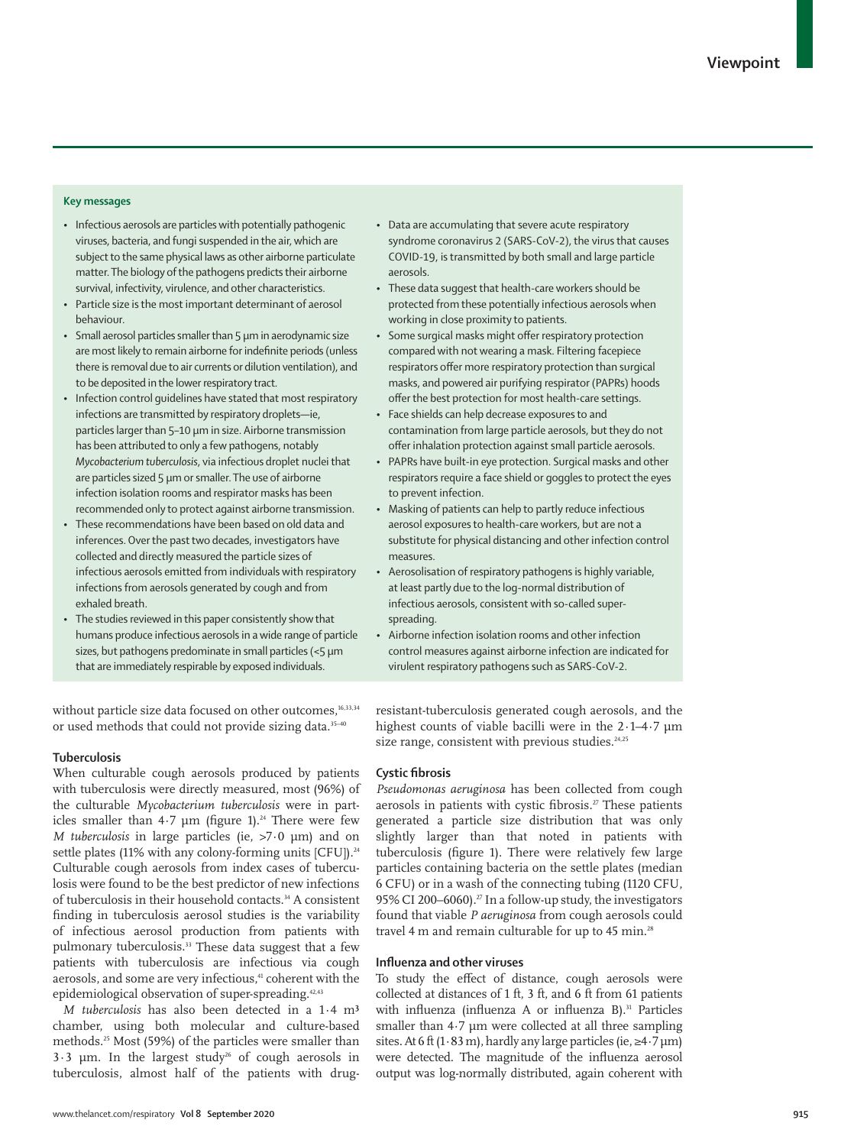## **Key messages**

- Infectious aerosols are particles with potentially pathogenic viruses, bacteria, and fungi suspended in the air, which are subject to the same physical laws as other airborne particulate matter. The biology of the pathogens predicts their airborne survival, infectivity, virulence, and other characteristics.
- Particle size is the most important determinant of aerosol behaviour.
- Small aerosol particles smaller than 5 µm in aerodynamic size are most likely to remain airborne for indefinite periods (unless there is removal due to air currents or dilution ventilation), and to be deposited in the lower respiratory tract.
- Infection control guidelines have stated that most respiratory infections are transmitted by respiratory droplets—ie, particles larger than 5–10 µm in size. Airborne transmission has been attributed to only a few pathogens, notably *Mycobacterium tuberculosis*, via infectious droplet nuclei that are particles sized 5 um or smaller. The use of airborne infection isolation rooms and respirator masks has been recommended only to protect against airborne transmission.
- These recommendations have been based on old data and inferences. Over the past two decades, investigators have collected and directly measured the particle sizes of infectious aerosols emitted from individuals with respiratory infections from aerosols generated by cough and from exhaled breath.
- The studies reviewed in this paper consistently show that humans produce infectious aerosols in a wide range of particle sizes, but pathogens predominate in small particles (<5 µm that are immediately respirable by exposed individuals.

without particle size data focused on other outcomes,<sup>16,33,34</sup> or used methods that could not provide sizing data.<sup>35-40</sup>

## **Tuberculosis**

When culturable cough aerosols produced by patients with tuberculosis were directly measured, most (96%) of the culturable *Mycobacterium tuberculosis* were in particles smaller than  $4.7 \mu m$  (figure 1).<sup>24</sup> There were few *M tuberculosis* in large particles (ie, >7·0 µm) and on settle plates (11% with any colony-forming units  $[CFU]$ ).<sup>24</sup> Culturable cough aerosols from index cases of tuberculosis were found to be the best predictor of new infections of tuberculosis in their household contacts.<sup>34</sup> A consistent finding in tuberculosis aerosol studies is the variability of infectious aerosol production from patients with pulmonary tuberculosis.<sup>33</sup> These data suggest that a few patients with tuberculosis are infectious via cough aerosols, and some are very infectious,<sup>41</sup> coherent with the epidemiological observation of super-spreading.<sup>42,43</sup>

*M tuberculosis* has also been detected in a 1·4 m³ chamber, using both molecular and culture-based methods.25 Most (59%) of the particles were smaller than  $3.3 \mu m$ . In the largest study<sup>26</sup> of cough aerosols in tuberculosis, almost half of the patients with drug-

- Data are accumulating that severe acute respiratory syndrome coronavirus 2 (SARS-CoV-2), the virus that causes COVID-19, is transmitted by both small and large particle aerosols.
- These data suggest that health-care workers should be protected from these potentially infectious aerosols when working in close proximity to patients.
- Some surgical masks might offer respiratory protection compared with not wearing a mask. Filtering facepiece respirators offer more respiratory protection than surgical masks, and powered air purifying respirator (PAPRs) hoods offer the best protection for most health-care settings.
- Face shields can help decrease exposures to and contamination from large particle aerosols, but they do not offer inhalation protection against small particle aerosols.
- PAPRs have built-in eye protection. Surgical masks and other respirators require a face shield or goggles to protect the eyes to prevent infection.
- Masking of patients can help to partly reduce infectious aerosol exposures to health-care workers, but are not a substitute for physical distancing and other infection control measures.
- Aerosolisation of respiratory pathogens is highly variable, at least partly due to the log-normal distribution of infectious aerosols, consistent with so-called superspreading.
- Airborne infection isolation rooms and other infection control measures against airborne infection are indicated for virulent respiratory pathogens such as SARS-CoV-2.

resistant-tuberculosis generated cough aerosols, and the highest counts of viable bacilli were in the 2 $\cdot$ 1-4 $\cdot$ 7 µm size range, consistent with previous studies.<sup>24,25</sup>

## **Cystic fibrosis**

*Pseudomonas aeruginosa* has been collected from cough aerosols in patients with cystic fibrosis.<sup>27</sup> These patients generated a particle size distribution that was only slightly larger than that noted in patients with tuberculosis (figure 1). There were relatively few large particles containing bacteria on the settle plates (median 6 CFU) or in a wash of the connecting tubing (1120 CFU, 95% CI 200-6060).<sup>27</sup> In a follow-up study, the investigators found that viable *P aeruginosa* from cough aerosols could travel 4 m and remain culturable for up to 45 min.<sup>28</sup>

## **Influenza and other viruses**

To study the effect of distance, cough aerosols were collected at distances of 1 ft, 3 ft, and 6 ft from 61 patients with influenza (influenza A or influenza B).<sup>31</sup> Particles smaller than 4.7 µm were collected at all three sampling sites. At 6 ft (1·83 m), hardly any large particles (ie,  $\geq 4.7 \,\mathrm{\mu m}$ ) were detected. The magnitude of the influenza aerosol output was log-normally distributed, again coherent with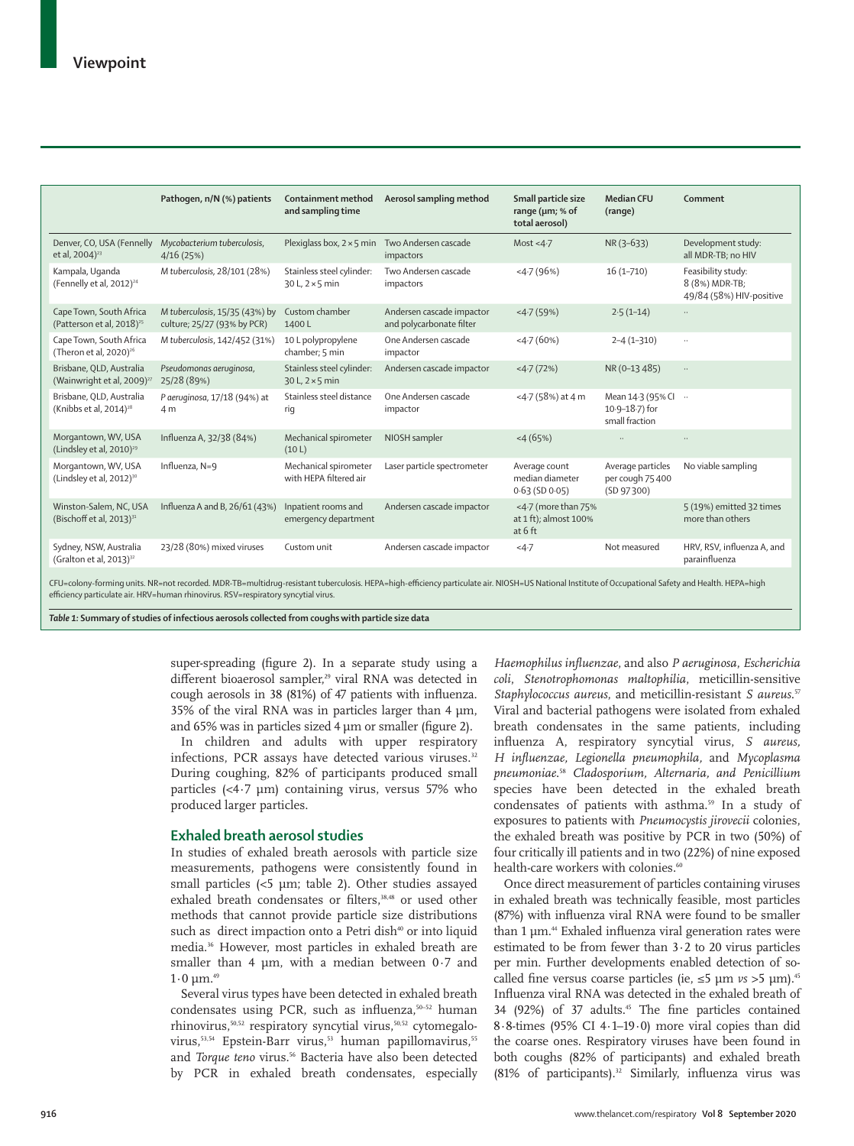|                                                                    | Pathogen, n/N (%) patients                                    | Containment method<br>and sampling time             | Aerosol sampling method                               | Small particle size<br>range ( $\mu$ m; % of<br>total aerosol) | <b>Median CFU</b><br>(range)                               | Comment                                                          |
|--------------------------------------------------------------------|---------------------------------------------------------------|-----------------------------------------------------|-------------------------------------------------------|----------------------------------------------------------------|------------------------------------------------------------|------------------------------------------------------------------|
| Denver, CO, USA (Fennelly<br>et al, 2004) <sup>23</sup>            | Mycobacterium tuberculosis,<br>4/16(25%)                      | Plexiglass box, $2 \times 5$ min                    | Two Andersen cascade<br>impactors                     | Most <4 $-7$                                                   | NR (3-633)                                                 | Development study:<br>all MDR-TB; no HIV                         |
| Kampala, Uqanda<br>(Fennelly et al, 2012) <sup>24</sup>            | M tuberculosis, 28/101 (28%)                                  | Stainless steel cylinder:<br>$30 L, 2 \times 5$ min | Two Andersen cascade<br>impactors                     | $-4.7(96%)$                                                    | $16(1 - 710)$                                              | Feasibility study:<br>8 (8%) MDR-TB;<br>49/84 (58%) HIV-positive |
| Cape Town, South Africa<br>(Patterson et al, 2018) <sup>25</sup>   | M tuberculosis, 15/35 (43%) by<br>culture; 25/27 (93% by PCR) | Custom chamber<br>1400L                             | Andersen cascade impactor<br>and polycarbonate filter | $<$ 4 $\cdot$ 7 (59%)                                          | $2.5(1-14)$                                                | $\ddotsc$                                                        |
| Cape Town, South Africa<br>(Theron et al, $2020$ ) <sup>26</sup>   | M tuberculosis, 142/452 (31%)                                 | 10 L polypropylene<br>chamber; 5 min                | One Andersen cascade<br>impactor                      | 4.7(60%)                                                       | $2 - 4(1 - 310)$                                           | $\ldots$                                                         |
| Brisbane, OLD, Australia<br>(Wainwright et al, 2009) <sup>27</sup> | Pseudomonas aeruginosa,<br>25/28 (89%)                        | Stainless steel cylinder:<br>$30 L, 2 \times 5$ min | Andersen cascade impactor                             | $<$ 4 $\cdot$ 7 (72%)                                          | NR (0-13 485)                                              | $\ddotsc$                                                        |
| Brisbane, OLD, Australia<br>(Knibbs et al, 2014) <sup>28</sup>     | P aeruginosa, 17/18 (94%) at<br>4 m                           | Stainless steel distance<br>rig                     | One Andersen cascade<br>impactor                      | $<$ 4.7 (58%) at 4 m                                           | Mean 14.3 (95% CI<br>$10.9 - 18.7$ ) for<br>small fraction | $\ldots$                                                         |
| Morgantown, WV, USA<br>(Lindsley et al, 2010) <sup>29</sup>        | Influenza A, 32/38 (84%)                                      | Mechanical spirometer<br>(10 L)                     | NIOSH sampler                                         | $<$ 4 (65%)                                                    |                                                            | $\ddotsc$                                                        |
| Morgantown, WV, USA<br>(Lindsley et al, 2012) <sup>30</sup>        | Influenza, N=9                                                | Mechanical spirometer<br>with HEPA filtered air     | Laser particle spectrometer                           | Average count<br>median diameter<br>$0.63$ (SD $0.05$ )        | Average particles<br>per cough 75 400<br>(SD 97300)        | No viable sampling                                               |
| Winston-Salem, NC, USA<br>(Bischoff et al, 2013) <sup>31</sup>     | Influenza A and B, 26/61 (43%)                                | Inpatient rooms and<br>emergency department         | Andersen cascade impactor                             | <4.7 (more than 75%<br>at 1 ft); almost 100%<br>at $6$ ft      |                                                            | 5 (19%) emitted 32 times<br>more than others                     |
| Sydney, NSW, Australia<br>(Gralton et al, 2013) <sup>32</sup>      | 23/28 (80%) mixed viruses                                     | Custom unit                                         | Andersen cascade impactor                             | $4 - 7$                                                        | Not measured                                               | HRV, RSV, influenza A, and<br>parainfluenza                      |

efficiency particulate air. HRV=human rhinovirus. RSV=respiratory syncytial virus.

*Table 1:* **Summary of studies of infectious aerosols collected from coughs with particle size data**

super-spreading (figure 2). In a separate study using a different bioaerosol sampler,<sup>29</sup> viral RNA was detected in cough aerosols in 38 (81%) of 47 patients with influenza. 35% of the viral RNA was in particles larger than 4  $\mu$ m, and 65% was in particles sized 4 µm or smaller (figure 2).

In children and adults with upper respiratory infections, PCR assays have detected various viruses.<sup>32</sup> During coughing, 82% of participants produced small particles (<4·7 µm) containing virus, versus 57% who produced larger particles.

## **Exhaled breath aerosol studies**

In studies of exhaled breath aerosols with particle size measurements, pathogens were consistently found in small particles (<5 µm; table 2). Other studies assayed exhaled breath condensates or filters,<sup>38,48</sup> or used other methods that cannot provide particle size distributions such as direct impaction onto a Petri dish<sup>40</sup> or into liquid media.36 However, most particles in exhaled breath are smaller than 4  $\mu$ m, with a median between 0.7 and  $1·0$  μm.<sup>49</sup>

Several virus types have been detected in exhaled breath condensates using PCR, such as influenza,<sup>50-52</sup> human rhinovirus,<sup>50,52</sup> respiratory syncytial virus,<sup>50,52</sup> cytomegalovirus,<sup>53,54</sup> Epstein-Barr virus,<sup>53</sup> human papillomavirus,<sup>55</sup> and *Torque teno* virus.<sup>56</sup> Bacteria have also been detected by PCR in exhaled breath condensates, especially

*Haemophilus influenzae*, and also *P aeruginosa*, *Escherichia coli*, *Stenotrophomonas maltophilia*, meticillin-sensitive *Staphylococcus aureus*, and meticillin-resistant *S aureus*. 57 Viral and bacterial pathogens were isolated from exhaled breath condensates in the same patients, including influenza A, respiratory syncytial virus, *S aureus, H influenzae, Legionella pneumophila,* and *Mycoplasma pneumoniae*. <sup>58</sup> *Cladosporium, Alternaria, and Penicillium*  species have been detected in the exhaled breath condensates of patients with asthma.<sup>59</sup> In a study of exposures to patients with *Pneumocystis jirovecii* colonies, the exhaled breath was positive by PCR in two (50%) of four critically ill patients and in two (22%) of nine exposed health-care workers with colonies.<sup>60</sup>

Once direct measurement of particles containing viruses in exhaled breath was technically feasible, most particles (87%) with influenza viral RNA were found to be smaller than 1 µm. 44 Exhaled influenza viral generation rates were estimated to be from fewer than 3·2 to 20 virus particles per min. Further developments enabled detection of socalled fine versus coarse particles (ie,  $\leq$ 5 µm *vs* >5 µm).<sup>45</sup> Influenza viral RNA was detected in the exhaled breath of 34 (92%) of 37 adults.<sup>45</sup> The fine particles contained 8·8-times (95% CI 4·1–19·0) more viral copies than did the coarse ones. Respiratory viruses have been found in both coughs (82% of participants) and exhaled breath (81% of participants).<sup>32</sup> Similarly, influenza virus was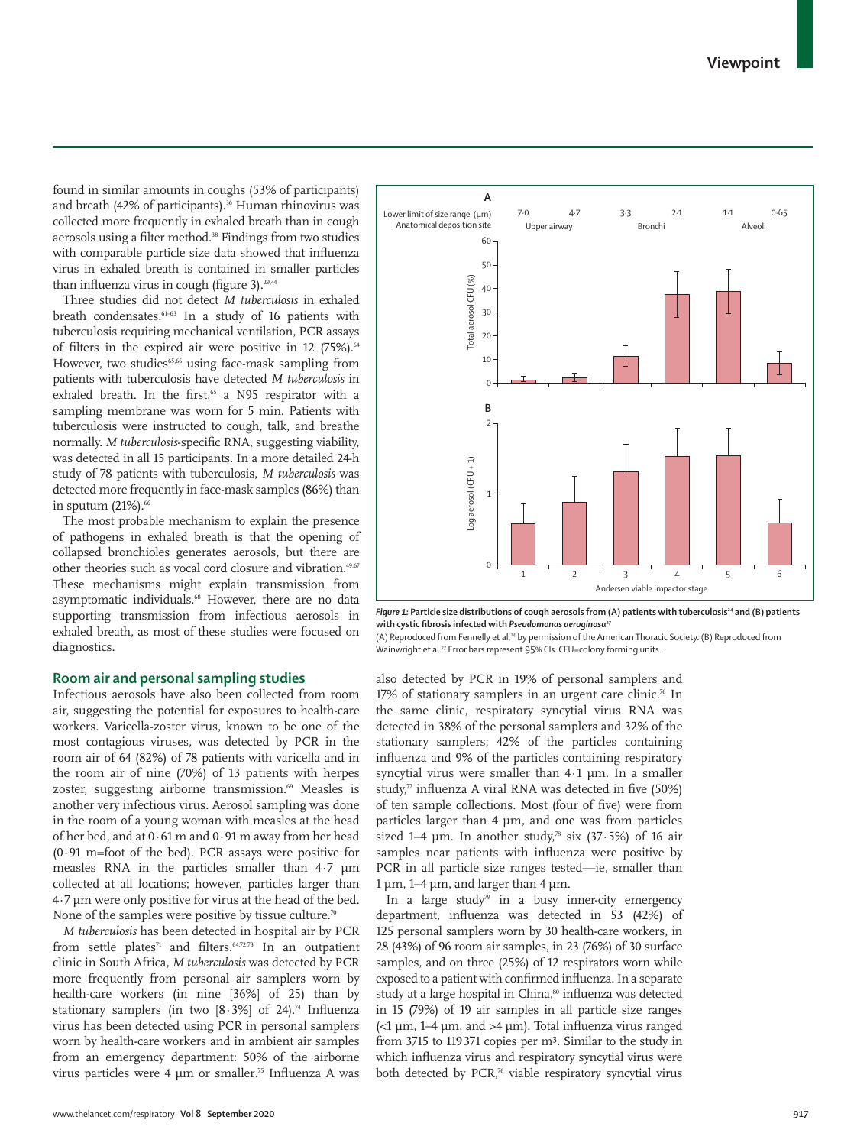Anatomical deposition site Upper airway **Bronchi** Bronchi Alveoli 60 50 Total aerosol CFU (%) Total aerosol CFU (%) 40 30 20 10  $\Omega$ **B** $\overline{2}$  $Log$  aerosol (CFU + 1) Log aerosol (CFU + 1) 1 0 1 2 3 4 5 6 Andersen viable impactor stage

*Figure 1:* Particle size distributions of cough aerosols from (A) patients with tuberculosis<sup>24</sup> and (B) patients **with cystic fibrosis infected with** *Pseudomonas aeruginosa***<sup>27</sup>**

(A) Reproduced from Fennelly et al,<sup>24</sup> by permission of the American Thoracic Society. (B) Reproduced from Wainwright et al.<sup>27</sup> Error bars represent 95% CIs. CFU=colony forming units.

also detected by PCR in 19% of personal samplers and 17% of stationary samplers in an urgent care clinic.<sup>76</sup> In the same clinic, respiratory syncytial virus RNA was detected in 38% of the personal samplers and 32% of the stationary samplers; 42% of the particles containing influenza and 9% of the particles containing respiratory syncytial virus were smaller than 4·1 µm. In a smaller study, $\pi$  influenza A viral RNA was detected in five (50%) of ten sample collections. Most (four of five) were from particles larger than 4 µm, and one was from particles sized 1–4  $\mu$ m. In another study,<sup>78</sup> six (37.5%) of 16 air samples near patients with influenza were positive by PCR in all particle size ranges tested—ie, smaller than  $1 \mu m$ ,  $1-4 \mu m$ , and larger than  $4 \mu m$ .

In a large study<sup>79</sup> in a busy inner-city emergency department, influenza was detected in 53 (42%) of 125 personal samplers worn by 30 health-care workers, in 28 (43%) of 96 room air samples, in 23 (76%) of 30 surface samples, and on three (25%) of 12 respirators worn while exposed to a patient with confirmed influenza. In a separate study at a large hospital in China,<sup>80</sup> influenza was detected in 15 (79%) of 19 air samples in all particle size ranges (<1 µm, 1–4 µm, and >4 µm). Total influenza virus ranged from 3715 to 119371 copies per m³. Similar to the study in which influenza virus and respiratory syncytial virus were both detected by PCR,<sup>76</sup> viable respiratory syncytial virus

found in similar amounts in coughs (53% of participants) and breath (42% of participants).<sup>36</sup> Human rhinovirus was collected more frequently in exhaled breath than in cough aerosols using a filter method.<sup>38</sup> Findings from two studies with comparable particle size data showed that influenza virus in exhaled breath is contained in smaller particles than influenza virus in cough (figure 3).<sup>29,44</sup>

Three studies did not detect *M tuberculosis* in exhaled breath condensates.<sup>61-63</sup> In a study of 16 patients with tuberculosis requiring mechanical ventilation, PCR assays of filters in the expired air were positive in 12  $(75\%)$ .<sup>64</sup> However, two studies<sup>65,66</sup> using face-mask sampling from patients with tuberculosis have detected *M tuberculosis* in exhaled breath. In the first,<sup>65</sup> a N95 respirator with a sampling membrane was worn for 5 min. Patients with tuberculosis were instructed to cough, talk, and breathe normally. *M tuberculosis*-specific RNA, suggesting viability, was detected in all 15 participants. In a more detailed 24-h study of 78 patients with tuberculosis, *M tuberculosis* was detected more frequently in face-mask samples (86%) than in sputum  $(21%)$ .<sup>66</sup>

The most probable mechanism to explain the presence of pathogens in exhaled breath is that the opening of collapsed bronchioles generates aerosols, but there are other theories such as vocal cord closure and vibration.<sup>49,67</sup> These mechanisms might explain transmission from asymptomatic individuals.<sup>68</sup> However, there are no data supporting transmission from infectious aerosols in exhaled breath, as most of these studies were focused on diagnostics.

## **Room air and personal sampling studies**

Infectious aerosols have also been collected from room air, suggesting the potential for exposures to health-care workers. Varicella-zoster virus, known to be one of the most contagious viruses, was detected by PCR in the room air of 64 (82%) of 78 patients with varicella and in the room air of nine (70%) of 13 patients with herpes zoster, suggesting airborne transmission.<sup>69</sup> Measles is another very infectious virus. Aerosol sampling was done in the room of a young woman with measles at the head of her bed, and at 0·61 m and 0·91 m away from her head  $(0.91 \text{ m}$ =foot of the bed). PCR assays were positive for measles RNA in the particles smaller than 4·7 µm collected at all locations; however, particles larger than 4·7 µm were only positive for virus at the head of the bed. None of the samples were positive by tissue culture.<sup>70</sup>

*M tuberculosis* has been detected in hospital air by PCR from settle plates<sup>71</sup> and filters.<sup>64,72,73</sup> In an outpatient clinic in South Africa, *M tuberculosis* was detected by PCR more frequently from personal air samplers worn by health-care workers (in nine [36%] of 25) than by stationary samplers (in two  $[8.3\%]$  of 24).<sup>74</sup> Influenza virus has been detected using PCR in personal samplers worn by health-care workers and in ambient air samples from an emergency department: 50% of the airborne virus particles were 4 µm or smaller. 75 Influenza A was

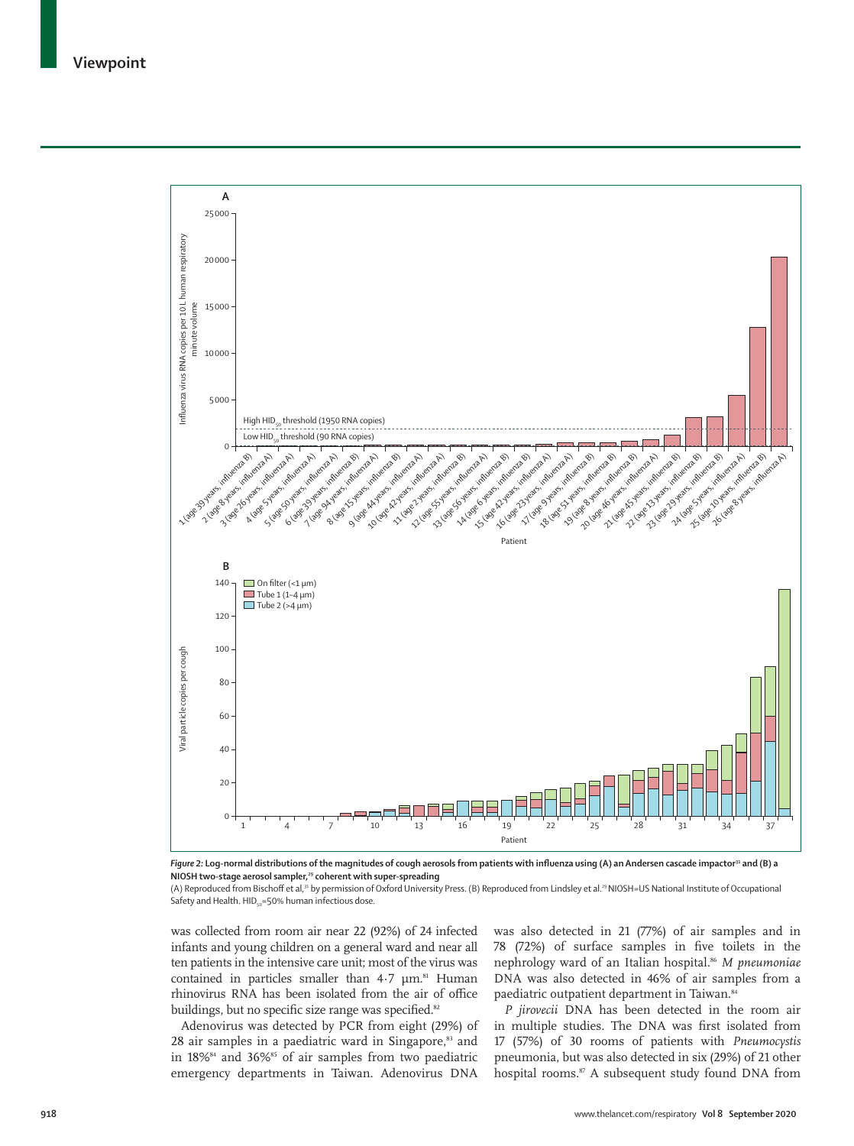

Figure 2: Log-normal distributions of the magnitudes of cough aerosols from patients with influenza using (A) an Andersen cascade impactor<sup>31</sup> and (B) a **NIOSH two-stage aerosol sampler,29 coherent with super-spreading**

(A) Reproduced from Bischoff et al,31 by permission of Oxford University Press. (B) Reproduced from Lindsley et al.29 NIOSH=US National Institute of Occupational Safety and Health.  $HID_{50} = 50%$  human infectious dose.

was collected from room air near 22 (92%) of 24 infected infants and young children on a general ward and near all ten patients in the intensive care unit; most of the virus was contained in particles smaller than  $4.7 \mu m$ .<sup>81</sup> Human rhinovirus RNA has been isolated from the air of office buildings, but no specific size range was specified.<sup>82</sup>

Adenovirus was detected by PCR from eight (29%) of  $28$  air samples in a paediatric ward in Singapore, $83$  and in  $18\%$ <sup>84</sup> and  $36\%$ <sup>85</sup> of air samples from two paediatric emergency departments in Taiwan. Adenovirus DNA

was also detected in 21 (77%) of air samples and in 78 (72%) of surface samples in five toilets in the nephrology ward of an Italian hospital.86 *M pneumoniae* DNA was also detected in 46% of air samples from a paediatric outpatient department in Taiwan.<sup>84</sup>

*P jirovecii* DNA has been detected in the room air in multiple studies. The DNA was first isolated from 17 (57%) of 30 rooms of patients with *Pneumocystis* pneumonia, but was also detected in six (29%) of 21 other hospital rooms.<sup>87</sup> A subsequent study found DNA from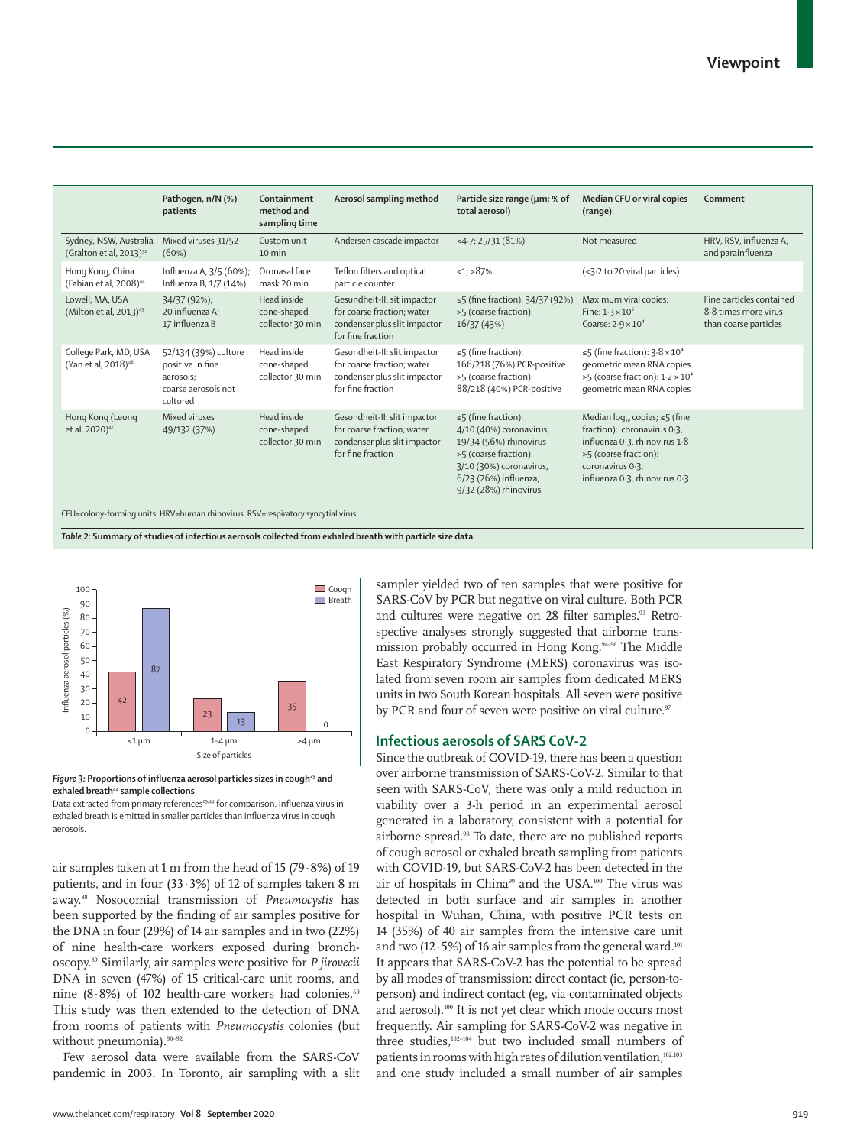|                                                               | Pathogen, n/N (%)<br>patients                                                            | Containment<br>method and<br>sampling time     | Aerosol sampling method                                                                                         | Particle size range (µm; % of<br>total aerosol)                                                                                                                                      | Median CFU or viral copies<br>(range)                                                                                                                                                  | Comment                                                                   |
|---------------------------------------------------------------|------------------------------------------------------------------------------------------|------------------------------------------------|-----------------------------------------------------------------------------------------------------------------|--------------------------------------------------------------------------------------------------------------------------------------------------------------------------------------|----------------------------------------------------------------------------------------------------------------------------------------------------------------------------------------|---------------------------------------------------------------------------|
| Sydney, NSW, Australia<br>(Gralton et al, 2013) <sup>32</sup> | Mixed viruses 31/52<br>(60%)                                                             | Custom unit<br>10 min                          | Andersen cascade impactor                                                                                       | $<$ 4.7; 25/31 (81%)                                                                                                                                                                 | Not measured                                                                                                                                                                           | HRV, RSV, influenza A,<br>and parainfluenza                               |
| Hong Kong, China<br>(Fabian et al, 2008) <sup>44</sup>        | Influenza A, 3/5 (60%);<br>Influenza B, 1/7 (14%)                                        | Oronasal face<br>mask 20 min                   | Teflon filters and optical<br>particle counter                                                                  | $<1$ ; > 87%                                                                                                                                                                         | (<3.2 to 20 viral particles)                                                                                                                                                           |                                                                           |
| Lowell, MA, USA<br>(Milton et al, 2013) <sup>45</sup>         | 34/37 (92%);<br>20 influenza A:<br>17 influenza B                                        | Head inside<br>cone-shaped<br>collector 30 min | Gesundheit-II: sit impactor<br>for coarse fraction; water<br>condenser plus slit impactor<br>for fine fraction  | ≤5 (fine fraction): 34/37 (92%)<br>>5 (coarse fraction):<br>16/37 (43%)                                                                                                              | Maximum viral copies:<br>Fine: $1.3 \times 10^5$<br>Coarse: $2.9 \times 10^4$                                                                                                          | Fine particles contained<br>8.8 times more virus<br>than coarse particles |
| College Park, MD, USA<br>(Yan et al, 2018) <sup>46</sup>      | 52/134 (39%) culture<br>positive in fine<br>aerosols;<br>coarse aerosols not<br>cultured | Head inside<br>cone-shaped<br>collector 30 min | Gesundheit-II: slit impactor<br>for coarse fraction; water<br>condenser plus slit impactor<br>for fine fraction | $\leq$ 5 (fine fraction):<br>166/218 (76%) PCR-positive<br>>5 (coarse fraction):<br>88/218 (40%) PCR-positive                                                                        | $\leq$ 5 (fine fraction): $3.8 \times 10^4$<br>geometric mean RNA copies<br>>5 (coarse fraction): 1.2 × 10 <sup>4</sup><br>geometric mean RNA copies                                   |                                                                           |
| Hong Kong (Leung<br>et al, 2020) <sup>47</sup>                | Mixed viruses<br>49/132 (37%)                                                            | Head inside<br>cone-shaped<br>collector 30 min | Gesundheit-II: slit impactor<br>for coarse fraction; water<br>condenser plus slit impactor<br>for fine fraction | $\leq$ 5 (fine fraction):<br>4/10 (40%) coronavirus,<br>19/34 (56%) rhinovirus<br>>5 (coarse fraction):<br>3/10 (30%) coronavirus,<br>6/23 (26%) influenza,<br>9/32 (28%) rhinovirus | Median $log_{10}$ copies; $\leq$ 5 (fine<br>fraction): coronavirus 0.3,<br>influenza 0.3, rhinovirus 1.8<br>>5 (coarse fraction):<br>coronavirus 0.3,<br>influenza 0.3, rhinovirus 0.3 |                                                                           |





Data extracted from primary references<sup>29,44</sup> for comparison. Influenza virus in exhaled breath is emitted in smaller particles than influenza virus in cough aerosols.

air samples taken at 1 m from the head of 15 (79·8%) of 19 patients, and in four  $(33.3\%)$  of 12 of samples taken 8 m away.88 Nosocomial transmission of *Pneumocystis* has been supported by the finding of air samples positive for the DNA in four (29%) of 14 air samples and in two (22%) of nine health-care workers exposed during bronchoscopy.89 Similarly, air samples were positive for *P jirovecii* DNA in seven (47%) of 15 critical-care unit rooms, and nine (8.8%) of 102 health-care workers had colonies.<sup>60</sup> This study was then extended to the detection of DNA from rooms of patients with *Pneumocystis* colonies (but without pneumonia).<sup>90-92</sup>

Few aerosol data were available from the SARS-CoV pandemic in 2003. In Toronto, air sampling with a slit sampler yielded two of ten samples that were positive for SARS-CoV by PCR but negative on viral culture. Both PCR and cultures were negative on 28 filter samples.<sup>93</sup> Retrospective analyses strongly suggested that airborne transmission probably occurred in Hong Kong.94–96 The Middle East Respiratory Syndrome (MERS) coronavirus was isolated from seven room air samples from dedicated MERS units in two South Korean hospitals. All seven were positive by PCR and four of seven were positive on viral culture.<sup>97</sup>

## **Infectious aerosols of SARS CoV-2**

Since the outbreak of COVID-19, there has been a question over airborne transmission of SARS-CoV-2. Similar to that seen with SARS-CoV, there was only a mild reduction in viability over a 3-h period in an experimental aerosol generated in a laboratory, consistent with a potential for airborne spread.98 To date, there are no published reports of cough aerosol or exhaled breath sampling from patients with COVID-19, but SARS-CoV-2 has been detected in the air of hospitals in China<sup>99</sup> and the USA.<sup>100</sup> The virus was detected in both surface and air samples in another hospital in Wuhan, China, with positive PCR tests on 14 (35%) of 40 air samples from the intensive care unit and two (12 $\cdot$ 5%) of 16 air samples from the general ward.<sup>101</sup> It appears that SARS-CoV-2 has the potential to be spread by all modes of transmission: direct contact (ie, person-toperson) and indirect contact (eg, via contaminated objects and aerosol).<sup>100</sup> It is not yet clear which mode occurs most frequently. Air sampling for SARS-CoV-2 was negative in three studies,102–104 but two included small numbers of patients in rooms with high rates of dilution ventilation,<sup>102,103</sup> and one study included a small number of air samples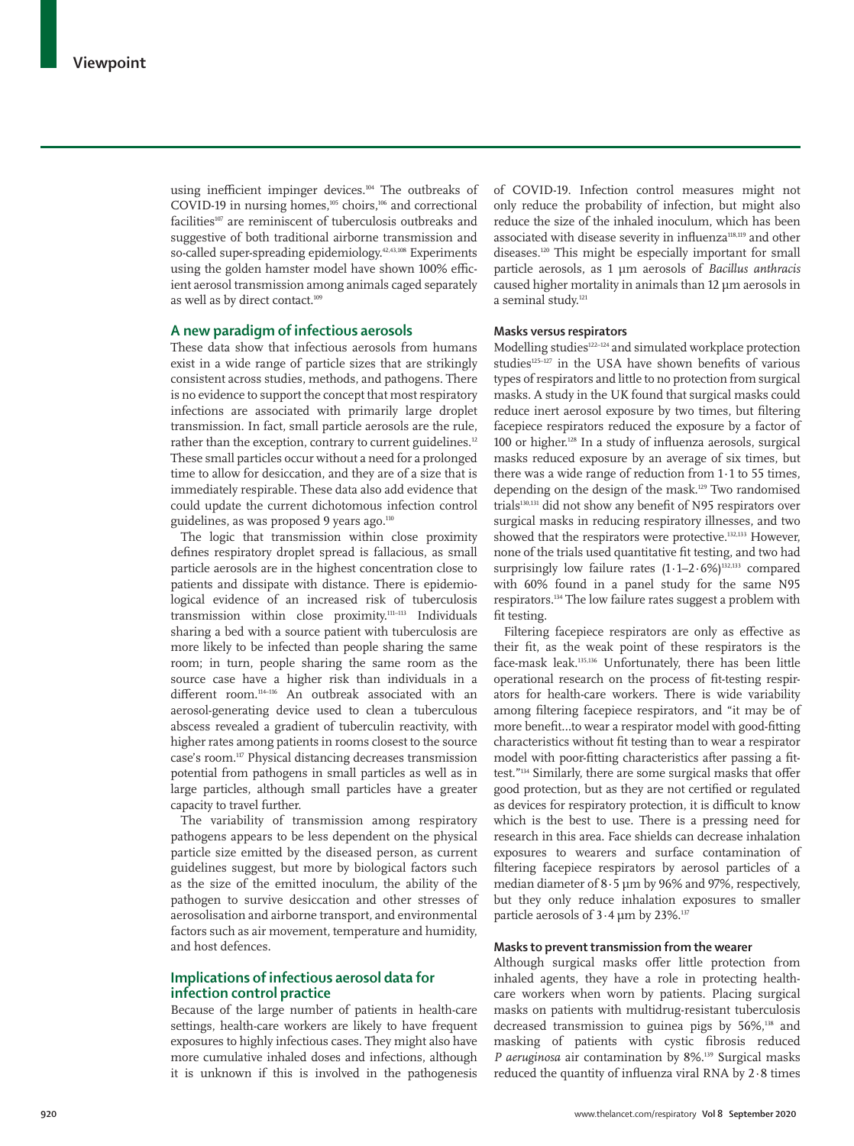using inefficient impinger devices.<sup>104</sup> The outbreaks of COVID-19 in nursing homes, $105$  choirs, $106$  and correctional facilities<sup>107</sup> are reminiscent of tuberculosis outbreaks and suggestive of both traditional airborne transmission and so-called super-spreading epidemiology.<sup>42,43,108</sup> Experiments using the golden hamster model have shown 100% efficient aerosol transmission among animals caged separately as well as by direct contact.<sup>109</sup>

## **A new paradigm of infectious aerosols**

These data show that infectious aerosols from humans exist in a wide range of particle sizes that are strikingly consistent across studies, methods, and pathogens. There is no evidence to support the concept that most respiratory infections are associated with primarily large droplet transmission. In fact, small particle aerosols are the rule, rather than the exception, contrary to current guidelines.<sup>12</sup> These small particles occur without a need for a prolonged time to allow for desiccation, and they are of a size that is immediately respirable. These data also add evidence that could update the current dichotomous infection control guidelines, as was proposed 9 years ago.<sup>110</sup>

The logic that transmission within close proximity defines respiratory droplet spread is fallacious, as small particle aerosols are in the highest concentration close to patients and dissipate with distance. There is epidemiological evidence of an increased risk of tuberculosis transmission within close proximity.111–113 Individuals sharing a bed with a source patient with tuberculosis are more likely to be infected than people sharing the same room; in turn, people sharing the same room as the source case have a higher risk than individuals in a different room.<sup>114-116</sup> An outbreak associated with an aerosol-generating device used to clean a tuberculous abscess revealed a gradient of tuberculin reactivity, with higher rates among patients in rooms closest to the source case's room.117 Physical distancing decreases transmission potential from pathogens in small particles as well as in large particles, although small particles have a greater capacity to travel further.

The variability of transmission among respiratory pathogens appears to be less dependent on the physical particle size emitted by the diseased person, as current guidelines suggest, but more by biological factors such as the size of the emitted inoculum, the ability of the pathogen to survive desiccation and other stresses of aerosolisation and airborne transport, and environmental factors such as air movement, temperature and humidity, and host defences.

## **Implications of infectious aerosol data for infection control practice**

Because of the large number of patients in health-care settings, health-care workers are likely to have frequent exposures to highly infectious cases. They might also have more cumulative inhaled doses and infections, although it is unknown if this is involved in the pathogenesis of COVID-19. Infection control measures might not only reduce the probability of infection, but might also reduce the size of the inhaled inoculum, which has been associated with disease severity in influenza<sup>118,119</sup> and other diseases.<sup>120</sup> This might be especially important for small particle aerosols, as 1 µm aerosols of *Bacillus anthracis* caused higher mortality in animals than 12 µm aerosols in a seminal study.<sup>121</sup>

## **Masks versus respirators**

Modelling studies<sup>122–124</sup> and simulated workplace protection studies $125-127$  in the USA have shown benefits of various types of respirators and little to no protection from surgical masks. A study in the UK found that surgical masks could reduce inert aerosol exposure by two times, but filtering facepiece respirators reduced the exposure by a factor of 100 or higher.128 In a study of influenza aerosols, surgical masks reduced exposure by an average of six times, but there was a wide range of reduction from  $1.1$  to 55 times, depending on the design of the mask.129 Two randomised trials<sup>130,131</sup> did not show any benefit of N95 respirators over surgical masks in reducing respiratory illnesses, and two showed that the respirators were protective.132,133 However, none of the trials used quantitative fit testing, and two had surprisingly low failure rates  $(1.1-2.6\%)$ <sup>132,133</sup> compared with 60% found in a panel study for the same N95 respirators.134 The low failure rates suggest a problem with fit testing.

Filtering facepiece respirators are only as effective as their fit, as the weak point of these respirators is the face-mask leak.135,136 Unfortunately, there has been little operational research on the process of fit-testing respirators for health-care workers. There is wide variability among filtering facepiece respirators, and "it may be of more benefit…to wear a respirator model with good-fitting characteristics without fit testing than to wear a respirator model with poor-fitting characteristics after passing a fittest."134 Similarly, there are some surgical masks that offer good protection, but as they are not certified or regulated as devices for respiratory protection, it is difficult to know which is the best to use. There is a pressing need for research in this area. Face shields can decrease inhalation exposures to wearers and surface contamination of filtering facepiece respirators by aerosol particles of a median diameter of 8·5 µm by 96% and 97%, respectively, but they only reduce inhalation exposures to smaller particle aerosols of  $3.4 \,\mathrm{\upmu m}$  by 23%.<sup>137</sup>

## **Masks to prevent transmission from the wearer**

Although surgical masks offer little protection from inhaled agents, they have a role in protecting healthcare workers when worn by patients. Placing surgical masks on patients with multidrug-resistant tuberculosis decreased transmission to guinea pigs by 56%,<sup>138</sup> and masking of patients with cystic fibrosis reduced *P aeruginosa* air contamination by 8%.139 Surgical masks reduced the quantity of influenza viral RNA by 2·8 times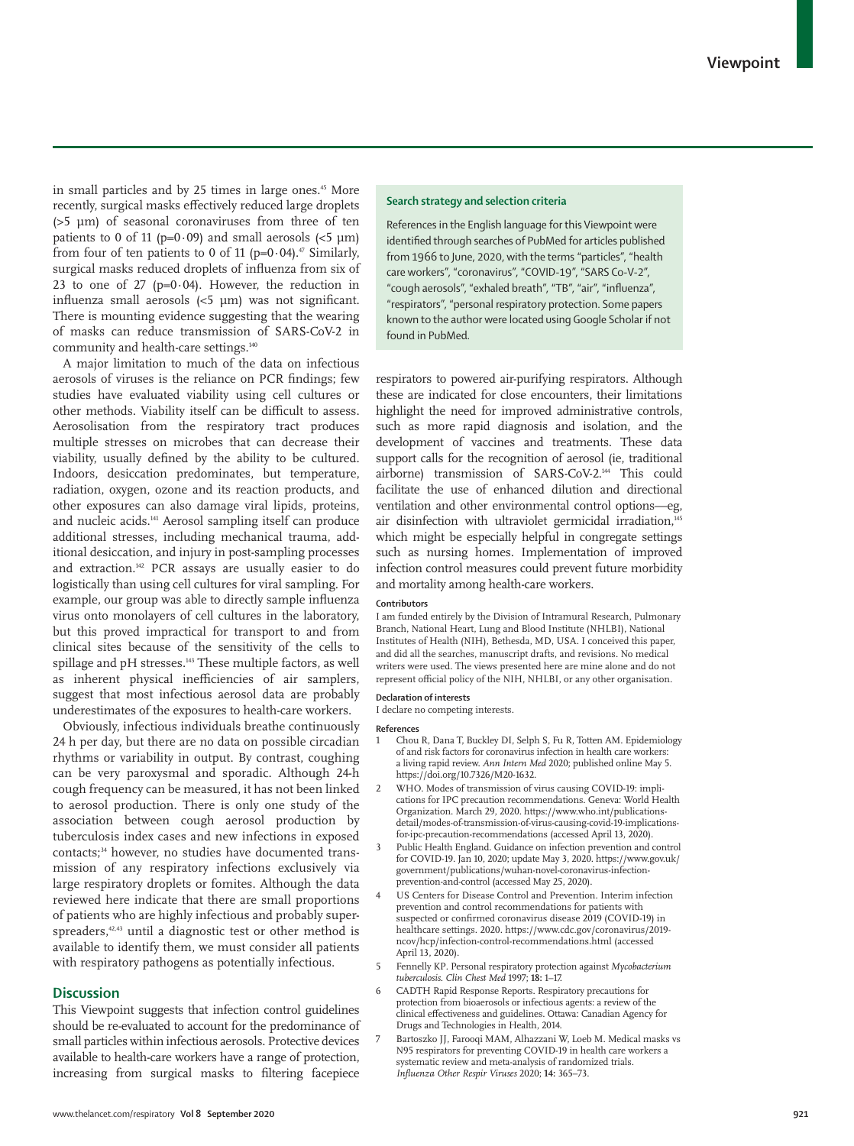in small particles and by 25 times in large ones.<sup>45</sup> More recently, surgical masks effectively reduced large droplets (>5 µm) of seasonal coronaviruses from three of ten patients to 0 of 11 ( $p=0.09$ ) and small aerosols ( $\leq 5 \text{ }\mu\text{m}$ ) from four of ten patients to 0 of 11 (p= $0.04$ ).<sup>47</sup> Similarly, surgical masks reduced droplets of influenza from six of 23 to one of 27 ( $p=0.04$ ). However, the reduction in influenza small aerosols (<5 µm) was not significant. There is mounting evidence suggesting that the wearing of masks can reduce transmission of SARS-CoV-2 in community and health-care settings.<sup>140</sup>

A major limitation to much of the data on infectious aerosols of viruses is the reliance on PCR findings; few studies have evaluated viability using cell cultures or other methods. Viability itself can be difficult to assess. Aerosolisation from the respiratory tract produces multiple stresses on microbes that can decrease their viability, usually defined by the ability to be cultured. Indoors, desiccation predominates, but temperature, radiation, oxygen, ozone and its reaction products, and other exposures can also damage viral lipids, proteins, and nucleic acids.141 Aerosol sampling itself can produce additional stresses, including mechanical trauma, additional desiccation, and injury in post-sampling processes and extraction.142 PCR assays are usually easier to do logistically than using cell cultures for viral sampling. For example, our group was able to directly sample influenza virus onto monolayers of cell cultures in the laboratory, but this proved impractical for transport to and from clinical sites because of the sensitivity of the cells to spillage and pH stresses.<sup>143</sup> These multiple factors, as well as inherent physical inefficiencies of air samplers, suggest that most infectious aerosol data are probably underestimates of the exposures to health-care workers.

Obviously, infectious individuals breathe continuously 24 h per day, but there are no data on possible circadian rhythms or variability in output. By contrast, coughing can be very paroxysmal and sporadic. Although 24-h cough frequency can be measured, it has not been linked to aerosol production. There is only one study of the association between cough aerosol production by tuberculosis index cases and new infections in exposed contacts;34 however, no studies have documented transmission of any respiratory infections exclusively via large respiratory droplets or fomites. Although the data reviewed here indicate that there are small proportions of patients who are highly infectious and probably superspreaders,<sup>42,43</sup> until a diagnostic test or other method is available to identify them, we must consider all patients with respiratory pathogens as potentially infectious.

## **Discussion**

This Viewpoint suggests that infection control guidelines should be re-evaluated to account for the predominance of small particles within infectious aerosols. Protective devices available to health-care workers have a range of protection, increasing from surgical masks to filtering facepiece

## **Search strategy and selection criteria**

References in the English language for this Viewpoint were identified through searches of PubMed for articles published from 1966 to June, 2020, with the terms "particles", "health care workers", "coronavirus", "COVID-19", "SARS Co-V-2", "cough aerosols", "exhaled breath", "TB", "air", "influenza", "respirators", "personal respiratory protection. Some papers known to the author were located using Google Scholar if not found in PubMed.

respirators to powered air-purifying respirators. Although these are indicated for close encounters, their limitations highlight the need for improved administrative controls, such as more rapid diagnosis and isolation, and the development of vaccines and treatments. These data support calls for the recognition of aerosol (ie, traditional airborne) transmission of SARS-CoV-2.144 This could facilitate the use of enhanced dilution and directional ventilation and other environmental control options—eg, air disinfection with ultraviolet germicidal irradiation,<sup>145</sup> which might be especially helpful in congregate settings such as nursing homes. Implementation of improved infection control measures could prevent future morbidity and mortality among health-care workers.

#### **Contributors**

I am funded entirely by the Division of Intramural Research, Pulmonary Branch, National Heart, Lung and Blood Institute (NHLBI), National Institutes of Health (NIH), Bethesda, MD, USA. I conceived this paper, and did all the searches, manuscript drafts, and revisions. No medical writers were used. The views presented here are mine alone and do not represent official policy of the NIH, NHLBI, or any other organisation.

## **Declaration of interests**

I declare no competing interests.

## **References**

- 1 Chou R, Dana T, Buckley DI, Selph S, Fu R, Totten AM. Epidemiology of and risk factors for coronavirus infection in health care workers: a living rapid review. *Ann Intern Med* 2020; published online May 5. https://doi.org/10.7326/M20-1632.
- 2 WHO. Modes of transmission of virus causing COVID-19: implications for IPC precaution recommendations. Geneva: World Health Organization. March 29, 2020. https://www.who.int/publicationsdetail/modes-of-transmission-of-virus-causing-covid-19-implicationsfor-ipc-precaution-recommendations (accessed April 13, 2020).
- Public Health England. Guidance on infection prevention and control for COVID-19. Jan 10, 2020; update May 3, 2020. https://www.gov.uk/ government/publications/wuhan-novel-coronavirus-infectionprevention-and-control (accessed May 25, 2020).
- 4 US Centers for Disease Control and Prevention. Interim infection prevention and control recommendations for patients with suspected or confirmed coronavirus disease 2019 (COVID-19) in healthcare settings. 2020. https://www.cdc.gov/coronavirus/2019 ncov/hcp/infection-control-recommendations.html (accessed April 13, 2020).
- 5 Fennelly KP. Personal respiratory protection against *Mycobacterium tuberculosis*. *Clin Chest Med* 1997; **18:** 1–17.
- 6 CADTH Rapid Response Reports. Respiratory precautions for protection from bioaerosols or infectious agents: a review of the clinical effectiveness and guidelines. Ottawa: Canadian Agency for Drugs and Technologies in Health, 2014.
- 7 Bartoszko JJ, Farooqi MAM, Alhazzani W, Loeb M. Medical masks vs N95 respirators for preventing COVID-19 in health care workers a systematic review and meta-analysis of randomized trials. *Influenza Other Respir Viruses* 2020; **14:** 365–73.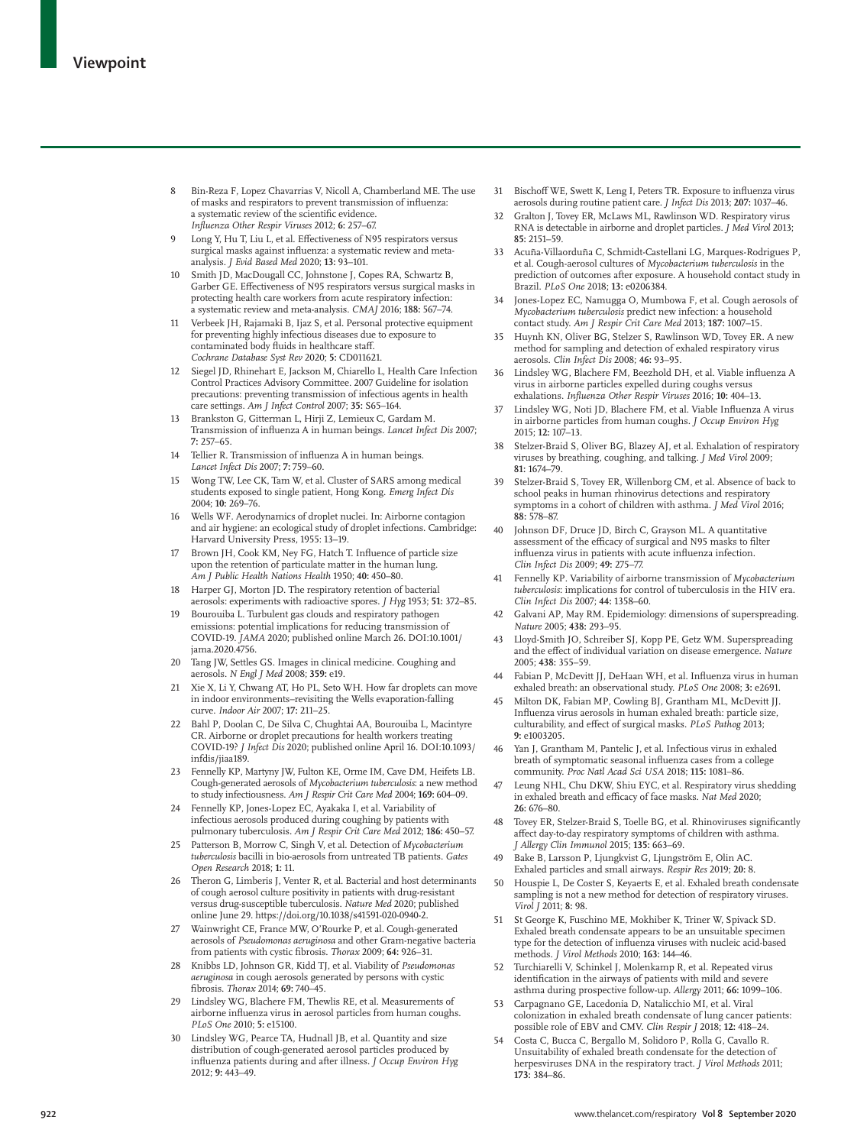- of masks and respirators to prevent transmission of influenza: a systematic review of the scientific evidence. *Influenza Other Respir Viruses* 2012; **6:** 257–67.
- 9 Long Y, Hu T, Liu L, et al. Effectiveness of N95 respirators versus surgical masks against influenza: a systematic review and metaanalysis. *J Evid Based Med* 2020; **13:** 93–101.
- Smith JD, MacDougall CC, Johnstone J, Copes RA, Schwartz B, Garber GE. Effectiveness of N95 respirators versus surgical masks in protecting health care workers from acute respiratory infection: a systematic review and meta-analysis. *CMAJ* 2016; **188:** 567–74.
- 11 Verbeek JH, Rajamaki B, Ijaz S, et al. Personal protective equipment for preventing highly infectious diseases due to exposure to contaminated body fluids in healthcare staff. *Cochrane Database Syst Rev* 2020; **5:** CD011621.
- **92** www.thelancet.com/respiratory **Companying** and the september 2022 with the separatory in the separatory in the separatory in the separatory in the separatory in the separatory in the separatory in the separatory in t 12 Siegel JD, Rhinehart E, Jackson M, Chiarello L, Health Care Infection Control Practices Advisory Committee. 2007 Guideline for isolation precautions: preventing transmission of infectious agents in health care settings. *Am J Infect Control* 2007; **35:** S65–164.
	- 13 Brankston G, Gitterman L, Hirji Z, Lemieux C, Gardam M. Transmission of influenza A in human beings. *Lancet Infect Dis* 2007; **7:** 257–65.
	- 14 Tellier R. Transmission of influenza A in human beings. *Lancet Infect Dis* 2007; **7:** 759–60.
	- 15 Wong TW, Lee CK, Tam W, et al. Cluster of SARS among medical students exposed to single patient, Hong Kong. *Emerg Infect Dis* 2004; **10:** 269–76.
	- 16 Wells WF. Aerodynamics of droplet nuclei. In: Airborne contagion and air hygiene: an ecological study of droplet infections. Cambridge: Harvard University Press, 1955: 13–19.
	- Brown JH, Cook KM, Ney FG, Hatch T. Influence of particle size upon the retention of particulate matter in the human lung. *Am J Public Health Nations Health* 1950; **40:** 450–80.
	- 18 Harper GJ, Morton JD. The respiratory retention of bacterial aerosols: experiments with radioactive spores. *J Hyg* 1953; **51:** 372–85.
	- 19 Bourouiba L. Turbulent gas clouds and respiratory pathogen emissions: potential implications for reducing transmission of COVID-19. *JAMA* 2020; published online March 26. DOI:10.1001/ jama.2020.4756.
	- 20 Tang JW, Settles GS. Images in clinical medicine. Coughing and aerosols. *N Engl J Med* 2008; **359:** e19.
	- 21 Xie X, Li Y, Chwang AT, Ho PL, Seto WH. How far droplets can move in indoor environments–revisiting the Wells evaporation-falling curve. *Indoor Air* 2007; **17:** 211–25.
	- 22 Bahl P, Doolan C, De Silva C, Chughtai AA, Bourouiba L, Macintyre CR. Airborne or droplet precautions for health workers treating COVID-19? *J Infect Dis* 2020; published online April 16. DOI:10.1093/ infdis/jiaa189.
	- 23 Fennelly KP, Martyny JW, Fulton KE, Orme IM, Cave DM, Heifets LB. Cough-generated aerosols of *Mycobacterium tuberculosis*: a new method to study infectiousness. *Am J Respir Crit Care Med* 2004; **169:** 604–09.
	- 24 Fennelly KP, Jones-Lopez EC, Ayakaka I, et al. Variability of infectious aerosols produced during coughing by patients with pulmonary tuberculosis. *Am J Respir Crit Care Med* 2012; **186:** 450–57.
	- 25 Patterson B, Morrow C, Singh V, et al. Detection of *Mycobacterium tuberculosis* bacilli in bio-aerosols from untreated TB patients. *Gates Open Research* 2018; **1:** 11.
	- 26 Theron G, Limberis J, Venter R, et al. Bacterial and host determinants of cough aerosol culture positivity in patients with drug-resistant versus drug-susceptible tuberculosis. *Nature Med* 2020; published online June 29. https://doi.org/10.1038/s41591-020-0940-2.
	- 27 Wainwright CE, France MW, O'Rourke P, et al. Cough-generated aerosols of *Pseudomonas aeruginosa* and other Gram-negative bacteria from patients with cystic fibrosis. *Thorax* 2009; **64:** 926–31.
	- 28 Knibbs LD, Johnson GR, Kidd TJ, et al. Viability of *Pseudomonas aeruginosa* in cough aerosols generated by persons with cystic fibrosis. *Thorax* 2014; **69:** 740–45.
	- 29 Lindsley WG, Blachere FM, Thewlis RE, et al. Measurements of airborne influenza virus in aerosol particles from human coughs. *PLoS One* 2010; **5:** e15100.
	- 30 Lindsley WG, Pearce TA, Hudnall JB, et al. Quantity and size distribution of cough-generated aerosol particles produced by influenza patients during and after illness. *J Occup Environ Hyg* 2012; **9:** 443–49.
- 31 Bischoff WE, Swett K, Leng I, Peters TR. Exposure to influenza virus aerosols during routine patient care. *J Infect Dis* 2013; **207:** 1037–46.
- 32 Gralton J, Tovey ER, McLaws ML, Rawlinson WD. Respiratory virus RNA is detectable in airborne and droplet particles. *J Med Virol* 2013; **85:** 2151–59.
- 33 Acuña-Villaorduña C, Schmidt-Castellani LG, Marques-Rodrigues P, et al. Cough-aerosol cultures of *Mycobacterium tuberculosis* in the prediction of outcomes after exposure. A household contact study in Brazil. *PLoS One* 2018; **13:** e0206384.
- 34 Jones-Lopez EC, Namugga O, Mumbowa F, et al. Cough aerosols of *Mycobacterium tuberculosis* predict new infection: a household contact study. *Am J Respir Crit Care Med* 2013; **187:** 1007–15.
- 35 Huynh KN, Oliver BG, Stelzer S, Rawlinson WD, Tovey ER. A new method for sampling and detection of exhaled respiratory virus aerosols. *Clin Infect Dis* 2008; **46:** 93–95.
- 36 Lindsley WG, Blachere FM, Beezhold DH, et al. Viable influenza A virus in airborne particles expelled during coughs versus exhalations. *Influenza Other Respir Viruses* 2016; **10:** 404–13.
- 37 Lindsley WG, Noti JD, Blachere FM, et al. Viable Influenza A virus in airborne particles from human coughs. *J Occup Environ Hyg*  2015; **12:** 107–13.
- 38 Stelzer-Braid S, Oliver BG, Blazey AJ, et al. Exhalation of respiratory viruses by breathing, coughing, and talking. *J Med Virol* 2009; **81:** 1674–79.
- 39 Stelzer-Braid S, Tovey ER, Willenborg CM, et al. Absence of back to school peaks in human rhinovirus detections and respiratory symptoms in a cohort of children with asthma. *J Med Virol* 2016; **88:** 578–87.
- Johnson DF, Druce JD, Birch C, Grayson ML. A quantitative assessment of the efficacy of surgical and N95 masks to filter influenza virus in patients with acute influenza infection. *Clin Infect Dis* 2009; **49:** 275–77.
- 41 Fennelly KP. Variability of airborne transmission of *Mycobacterium tuberculosis*: implications for control of tuberculosis in the HIV era. *Clin Infect Dis* 2007; **44:** 1358–60.
- Galvani AP, May RM. Epidemiology: dimensions of superspreading. *Nature* 2005; **438:** 293–95.
- 43 Lloyd-Smith JO, Schreiber SJ, Kopp PE, Getz WM. Superspreading and the effect of individual variation on disease emergence. *Nature* 2005; **438:** 355–59.
- 44 Fabian P, McDevitt JJ, DeHaan WH, et al. Influenza virus in human exhaled breath: an observational study. *PLoS One* 2008; **3:** e2691.
- 45 Milton DK, Fabian MP, Cowling BJ, Grantham ML, McDevitt JJ. Influenza virus aerosols in human exhaled breath: particle size, culturability, and effect of surgical masks. *PLoS Pathog* 2013; **9:** e1003205.
- 46 Yan J, Grantham M, Pantelic J, et al. Infectious virus in exhaled breath of symptomatic seasonal influenza cases from a college community. *Proc Natl Acad Sci USA* 2018; **115:** 1081–86.
- 47 Leung NHL, Chu DKW, Shiu EYC, et al. Respiratory virus shedding in exhaled breath and efficacy of face masks. *Nat Med* 2020; **26:** 676–80.
- 48 Tovey ER, Stelzer-Braid S, Toelle BG, et al. Rhinoviruses significantly affect day-to-day respiratory symptoms of children with asthma. *J Allergy Clin Immunol* 2015; **135:** 663–69.
- 49 Bake B, Larsson P, Ljungkvist G, Ljungström E, Olin AC. Exhaled particles and small airways. *Respir Res* 2019; **20:** 8.
- 50 Houspie L, De Coster S, Keyaerts E, et al. Exhaled breath condensate sampling is not a new method for detection of respiratory viruses. *Virol J* 2011; **8:** 98.
- 51 St George K, Fuschino ME, Mokhiber K, Triner W, Spivack SD. Exhaled breath condensate appears to be an unsuitable specimen type for the detection of influenza viruses with nucleic acid-based methods. *J Virol Methods* 2010; **163:** 144–46.
- 52 Turchiarelli V, Schinkel J, Molenkamp R, et al. Repeated virus identification in the airways of patients with mild and severe asthma during prospective follow-up. *Allergy* 2011; **66:** 1099–106.
- 53 Carpagnano GE, Lacedonia D, Natalicchio MI, et al. Viral colonization in exhaled breath condensate of lung cancer patients: possible role of EBV and CMV. *Clin Respir J* 2018; **12:** 418–24.
- 54 Costa C, Bucca C, Bergallo M, Solidoro P, Rolla G, Cavallo R. Unsuitability of exhaled breath condensate for the detection of herpesviruses DNA in the respiratory tract. *J Virol Methods* 2011; **173:** 384–86.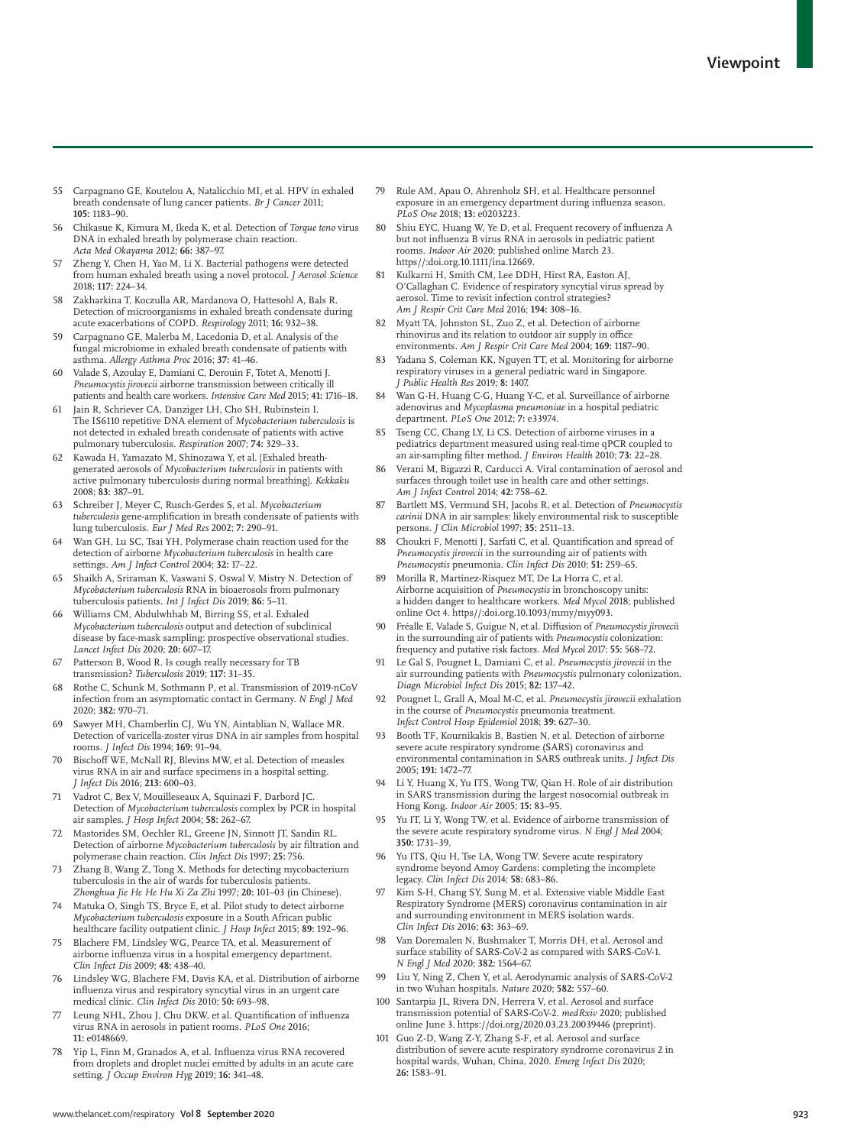- 55 Carpagnano GE, Koutelou A, Natalicchio MI, et al. HPV in exhaled breath condensate of lung cancer patients. *Br J Cancer* 2011; **105:** 1183–90.
- 56 Chikasue K, Kimura M, Ikeda K, et al. Detection of *Torque teno* virus DNA in exhaled breath by polymerase chain reaction. *Acta Med Okayama* 2012; **66:** 387–97.
- 57 Zheng Y, Chen H, Yao M, Li X. Bacterial pathogens were detected from human exhaled breath using a novel protocol. *J Aerosol Science* 2018; **117:** 224–34.
- 58 Zakharkina T, Koczulla AR, Mardanova O, Hattesohl A, Bals R. Detection of microorganisms in exhaled breath condensate during acute exacerbations of COPD. *Respirology* 2011; **16:** 932–38.
- 59 Carpagnano GE, Malerba M, Lacedonia D, et al. Analysis of the fungal microbiome in exhaled breath condensate of patients with asthma. *Allergy Asthma Proc* 2016; **37:** 41–46.
- 60 Valade S, Azoulay E, Damiani C, Derouin F, Totet A, Menotti J. *Pneumocystis jirovecii* airborne transmission between critically ill patients and health care workers. *Intensive Care Med* 2015; **41:** 1716–18.
- 61 Jain R, Schriever CA, Danziger LH, Cho SH, Rubinstein I. The IS6110 repetitive DNA element of *Mycobacterium tuberculosis* is not detected in exhaled breath condensate of patients with active pulmonary tuberculosis. *Respiration* 2007; **74:** 329–33.
- 62 Kawada H, Yamazato M, Shinozawa Y, et al. [Exhaled breathgenerated aerosols of *Mycobacterium tuberculosis* in patients with active pulmonary tuberculosis during normal breathing]. *Kekkaku* 2008; **83:** 387–91.
- 63 Schreiber J, Meyer C, Rusch-Gerdes S, et al. *Mycobacterium tuberculosis* gene-amplification in breath condensate of patients with lung tuberculosis. *Eur J Med Res* 2002; **7:** 290–91.
- Wan GH, Lu SC, Tsai YH. Polymerase chain reaction used for the detection of airborne *Mycobacterium tuberculosis* in health care settings. *Am J Infect Control* 2004; **32:** 17–22.
- 65 Shaikh A, Sriraman K, Vaswani S, Oswal V, Mistry N. Detection of *Mycobacterium tuberculosis* RNA in bioaerosols from pulmonary tuberculosis patients. *Int J Infect Dis* 2019; **86:** 5–11.
- Williams CM, Abdulwhhab M, Birring SS, et al. Exhaled *Mycobacterium tuberculosis* output and detection of subclinical disease by face-mask sampling: prospective observational studies. *Lancet Infect Dis* 2020; **20:** 607–17.
- 67 Patterson B, Wood R. Is cough really necessary for TB transmission? *Tuberculosis* 2019; **117:** 31–35.
- 68 Rothe C, Schunk M, Sothmann P, et al. Transmission of 2019-nCoV infection from an asymptomatic contact in Germany. *N Engl J Med* 2020; **382:** 970–71.
- 69 Sawyer MH, Chamberlin CJ, Wu YN, Aintablian N, Wallace MR. Detection of varicella-zoster virus DNA in air samples from hospital rooms. *J Infect Dis* 1994; **169:** 91–94.
- 70 Bischoff WE, McNall RJ, Blevins MW, et al. Detection of measles virus RNA in air and surface specimens in a hospital setting. *J Infect Dis* 2016; **213:** 600–03.
- 71 Vadrot C, Bex V, Mouilleseaux A, Squinazi F, Darbord JC. Detection of *Mycobacterium tuberculosis* complex by PCR in hospital air samples. *J Hosp Infect* 2004; **58:** 262–67.
- 72 Mastorides SM, Oechler RL, Greene JN, Sinnott JT, Sandin RL. Detection of airborne *Mycobacterium tuberculosis* by air filtration and polymerase chain reaction. *Clin Infect Dis* 1997; **25:** 756.
- 73 Zhang B, Wang Z, Tong X. Methods for detecting mycobacterium tuberculosis in the air of wards for tuberculosis patients. *Zhonghua Jie He He Hu Xi Za Zhi* 1997; **20:** 101–03 (in Chinese).
- 74 Matuka O, Singh TS, Bryce E, et al. Pilot study to detect airborne *Mycobacterium tuberculosis* exposure in a South African public healthcare facility outpatient clinic. *J Hosp Infect* 2015; **89:** 192–96.
- Blachere FM, Lindsley WG, Pearce TA, et al. Measurement of airborne influenza virus in a hospital emergency department. *Clin Infect Dis* 2009; **48:** 438–40.
- 76 Lindsley WG, Blachere FM, Davis KA, et al. Distribution of airborne influenza virus and respiratory syncytial virus in an urgent care medical clinic. *Clin Infect Dis* 2010; **50:** 693–98.
- Leung NHL, Zhou J, Chu DKW, et al. Quantification of influenza virus RNA in aerosols in patient rooms. *PLoS One* 2016; **11:** e0148669.
- 78 Yip L, Finn M, Granados A, et al. Influenza virus RNA recovered from droplets and droplet nuclei emitted by adults in an acute care setting. *J Occup Environ Hyg* 2019; **16:** 341–48.
- 79 Rule AM, Apau O, Ahrenholz SH, et al. Healthcare personnel exposure in an emergency department during influenza season. *PLoS One* 2018; **13:** e0203223.
- 80 Shiu EYC, Huang W, Ye D, et al. Frequent recovery of influenza A but not influenza B virus RNA in aerosols in pediatric patient rooms. *Indoor Air* 2020; published online March 23. https//:doi.org.10.1111/ina.12669.
- 81 Kulkarni H, Smith CM, Lee DDH, Hirst RA, Easton AJ, O'Callaghan C. Evidence of respiratory syncytial virus spread by aerosol. Time to revisit infection control strategies? *Am J Respir Crit Care Med* 2016; **194:** 308–16.
- 82 Myatt TA, Johnston SL, Zuo Z, et al. Detection of airborne rhinovirus and its relation to outdoor air supply in office environments. *Am J Respir Crit Care Med* 2004; **169:** 1187–90.
- 83 Yadana S, Coleman KK, Nguyen TT, et al. Monitoring for airborne respiratory viruses in a general pediatric ward in Singapore. *J Public Health Res* 2019; **8:** 1407.
- Wan G-H, Huang C-G, Huang Y-C, et al. Surveillance of airborne adenovirus and *Mycoplasma pneumoniae* in a hospital pediatric department. *PLoS One* 2012; **7:** e33974.
- 85 Tseng CC, Chang LY, Li CS. Detection of airborne viruses in a pediatrics department measured using real-time qPCR coupled to an air-sampling filter method. *J Environ Health* 2010; **73:** 22–28.
- Verani M, Bigazzi R, Carducci A. Viral contamination of aerosol and surfaces through toilet use in health care and other settings. *Am J Infect Control* 2014; **42:** 758–62.
- 87 Bartlett MS, Vermund SH, Jacobs R, et al. Detection of *Pneumocystis carinii* DNA in air samples: likely environmental risk to susceptible persons. *J Clin Microbiol* 1997; **35:** 2511–13.
- 88 Choukri F, Menotti J, Sarfati C, et al. Quantification and spread of *Pneumocystis jirovecii* in the surrounding air of patients with *Pneumocystis* pneumonia. *Clin Infect Dis* 2010; **51:** 259–65.
- 89 Morilla R, Martínez-Rísquez MT, De La Horra C, et al. Airborne acquisition of *Pneumocystis* in bronchoscopy units: a hidden danger to healthcare workers. *Med Mycol* 2018; published online Oct 4. https//:doi.org.10.1093/mmy/myy093.
- 90 Fréalle E, Valade S, Guigue N, et al. Diffusion of *Pneumocystis jiroveci*i in the surrounding air of patients with *Pneumocystis* colonization: frequency and putative risk factors. *Med Mycol* 2017: **55:** 568–72.
- 91 Le Gal S, Pougnet L, Damiani C, et al. *Pneumocystis jirovecii* in the air surrounding patients with *Pneumocystis* pulmonary colonization. *Diagn Microbiol Infect Dis* 2015; **82:** 137–42.
- 92 Pougnet L, Grall A, Moal M-C, et al. *Pneumocystis jirovecii* exhalation in the course of *Pneumocystis* pneumonia treatment. *Infect Control Hosp Epidemiol* 2018; **39:** 627–30.
- 93 Booth TF, Kournikakis B, Bastien N, et al. Detection of airborne severe acute respiratory syndrome (SARS) coronavirus and environmental contamination in SARS outbreak units. *J Infect Dis* 2005; **191:** 1472–77.
- 94 Li Y, Huang X, Yu ITS, Wong TW, Qian H. Role of air distribution in SARS transmission during the largest nosocomial outbreak in Hong Kong. *Indoor Air* 2005; **15:** 83–95.
- 95 Yu IT, Li Y, Wong TW, et al. Evidence of airborne transmission of the severe acute respiratory syndrome virus. *N Engl J Med* 2004; **350:** 1731–39.
- 96 Yu ITS, Qiu H, Tse LA, Wong TW. Severe acute respiratory syndrome beyond Amoy Gardens: completing the incomplete legacy. *Clin Infect Dis* 2014; **58:** 683–86.
- Kim S-H, Chang SY, Sung M, et al. Extensive viable Middle East Respiratory Syndrome (MERS) coronavirus contamination in air and surrounding environment in MERS isolation wards. *Clin Infect Dis* 2016; **63:** 363–69.
- Van Doremalen N, Bushmaker T, Morris DH, et al. Aerosol and surface stability of SARS-CoV-2 as compared with SARS-CoV-1. *N Engl J Med* 2020; **382:** 1564–67.
- 99 Liu Y, Ning Z, Chen Y, et al. Aerodynamic analysis of SARS-CoV-2 in two Wuhan hospitals. *Nature* 2020; **582:** 557–60.
- 100 Santarpia JL, Rivera DN, Herrera V, et al. Aerosol and surface transmission potential of SARS-CoV-2. *medRxiv* 2020; published online June 3. https://doi.org/2020.03.23.20039446 (preprint).
- Guo Z-D, Wang Z-Y, Zhang S-F, et al. Aerosol and surface distribution of severe acute respiratory syndrome coronavirus 2 in hospital wards, Wuhan, China, 2020. *Emerg Infect Dis* 2020; **26:** 1583–91.